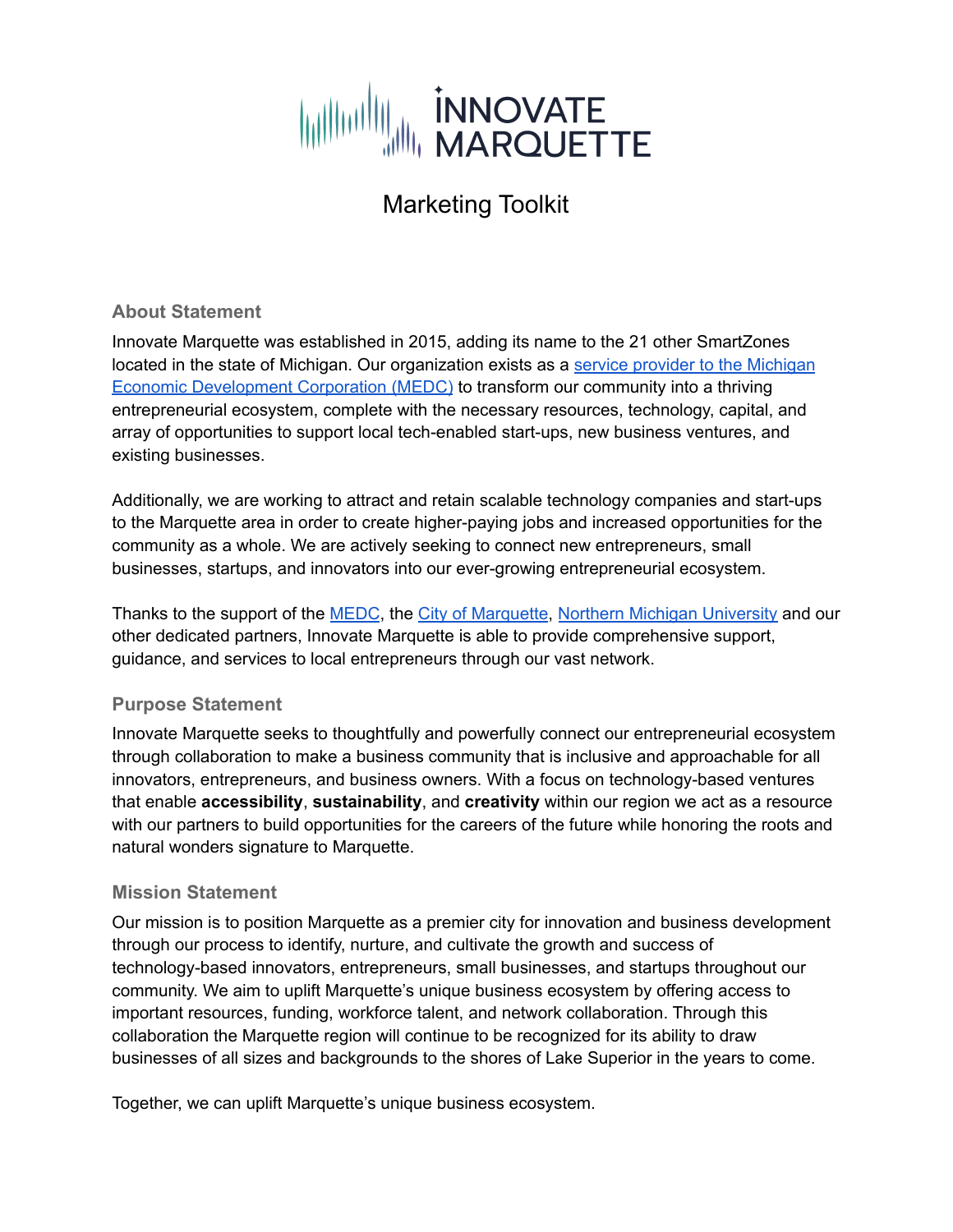

#### **About Statement**

Innovate Marquette was established in 2015, adding its name to the 21 other SmartZones located in the state of Michigan. Our organization exists as a service provider to the [Michigan](https://www.michiganbusiness.org/services/entrepreneurial-opportunity/service-providers/) Economic [Development](https://www.michiganbusiness.org/services/entrepreneurial-opportunity/service-providers/) Corporation (MEDC) to transform our community into a thriving entrepreneurial ecosystem, complete with the necessary resources, technology, capital, and array of opportunities to support local tech-enabled start-ups, new business ventures, and existing businesses.

Additionally, we are working to attract and retain scalable technology companies and start-ups to the Marquette area in order to create higher-paying jobs and increased opportunities for the community as a whole. We are actively seeking to connect new entrepreneurs, small businesses, startups, and innovators into our ever-growing entrepreneurial ecosystem.

Thanks to the support of the [MEDC](https://www.michiganbusiness.org/), the City of [Marquette](https://www.marquettemi.gov/), Northern Michigan [University](https://nmu.edu/) and our other dedicated partners, Innovate Marquette is able to provide comprehensive support, guidance, and services to local entrepreneurs through our vast network.

#### **Purpose Statement**

Innovate Marquette seeks to thoughtfully and powerfully connect our entrepreneurial ecosystem through collaboration to make a business community that is inclusive and approachable for all innovators, entrepreneurs, and business owners. With a focus on technology-based ventures that enable **accessibility**, **sustainability**, and **creativity** within our region we act as a resource with our partners to build opportunities for the careers of the future while honoring the roots and natural wonders signature to Marquette.

#### **Mission Statement**

Our mission is to position Marquette as a premier city for innovation and business development through our process to identify, nurture, and cultivate the growth and success of technology-based innovators, entrepreneurs, small businesses, and startups throughout our community. We aim to uplift Marquette's unique business ecosystem by offering access to important resources, funding, workforce talent, and network collaboration. Through this collaboration the Marquette region will continue to be recognized for its ability to draw businesses of all sizes and backgrounds to the shores of Lake Superior in the years to come.

Together, we can uplift Marquette's unique business ecosystem.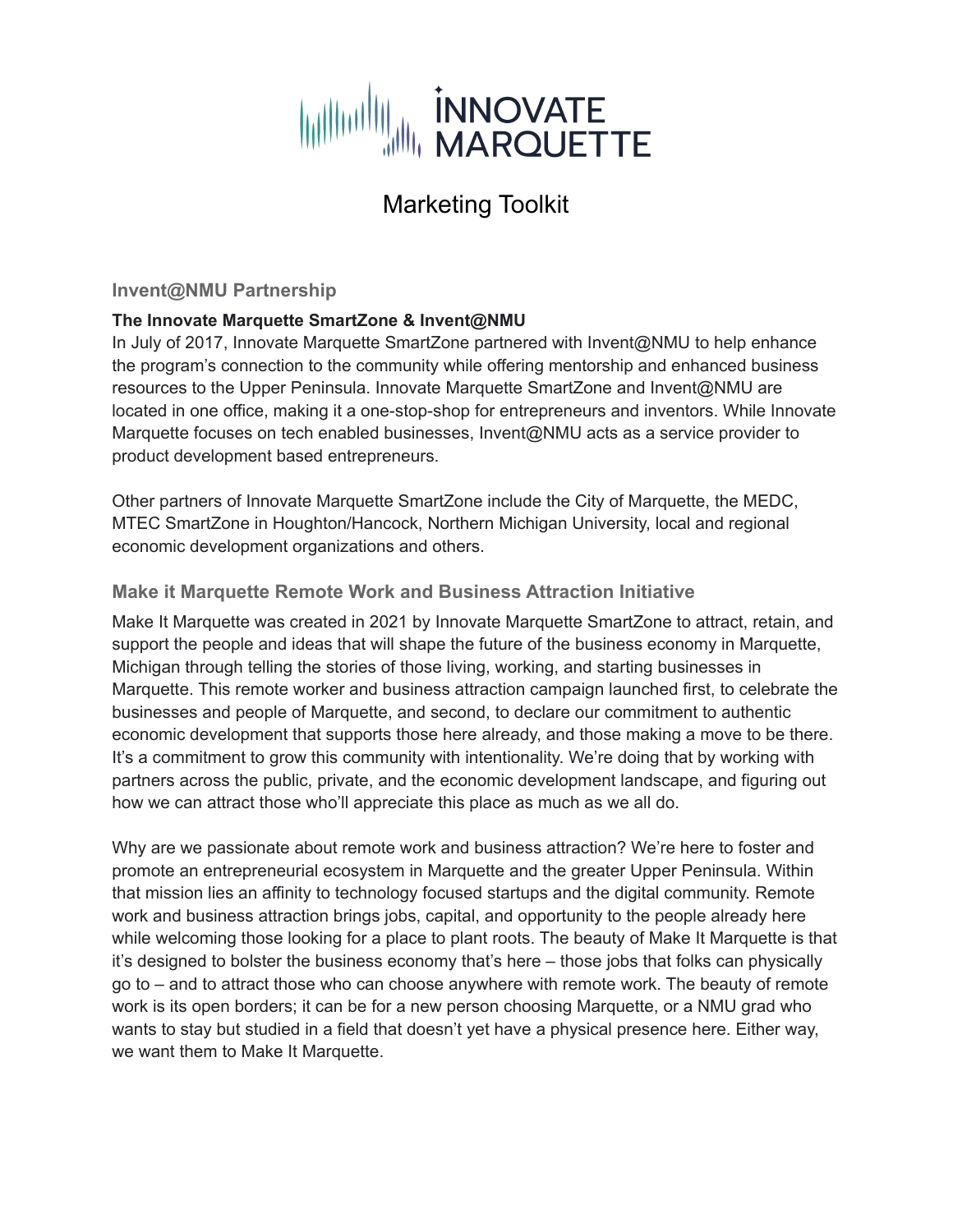

#### **Invent@NMU Partnership**

#### **The Innovate Marquette SmartZone & Invent@NMU**

In July of 2017, Innovate Marquette SmartZone partnered with Invent@NMU to help enhance the program's connection to the community while offering mentorship and enhanced business resources to the Upper Peninsula. Innovate Marquette SmartZone and Invent@NMU are located in one office, making it a one-stop-shop for entrepreneurs and inventors. While Innovate Marquette focuses on tech enabled businesses, Invent@NMU acts as a service provider to product development based entrepreneurs.

Other partners of Innovate Marquette SmartZone include the City of Marquette, the MEDC, MTEC SmartZone in Houghton/Hancock, Northern Michigan University, local and regional economic development organizations and others.

#### **Make it Marquette Remote Work and Business Attraction Initiative**

Make It [Marquette](http://makeitmqt.com/why-marquette/) was created in 2021 by Innovate Marquette SmartZone to attract, retain, and support the people and ideas that will shape the future of the business economy in Marquette, Michigan through telling the stories of those living, working, and starting businesses in Marquette. This remote worker and business attraction campaign launched first, to celebrate the businesses and people of Marquette, and second, to declare our commitment to authentic economic development that supports those here already, and those making a move to be there. It's a commitment to grow this community with intentionality. We're doing that by working with partners across the public, private, and the economic development landscape, and figuring out how we can attract those who'll appreciate this place as much as we all do.

Why are we passionate about remote work and business attraction? We're here to foster and promote an entrepreneurial ecosystem in Marquette and the greater Upper Peninsula. Within that mission lies an affinity to technology focused startups and the digital community. Remote work and business attraction brings jobs, capital, and opportunity to the people already here while welcoming those looking for a place to plant roots. The beauty of Make It Marquette is that it's designed to bolster the business economy that's here – those jobs that folks can physically go to – and to attract those who can choose anywhere with remote work. The beauty of remote work is its open borders; it can be for a new person choosing Marquette, or a NMU grad who wants to stay but studied in a field that doesn't yet have a physical presence here. Either way, we want them to Make It Marquette.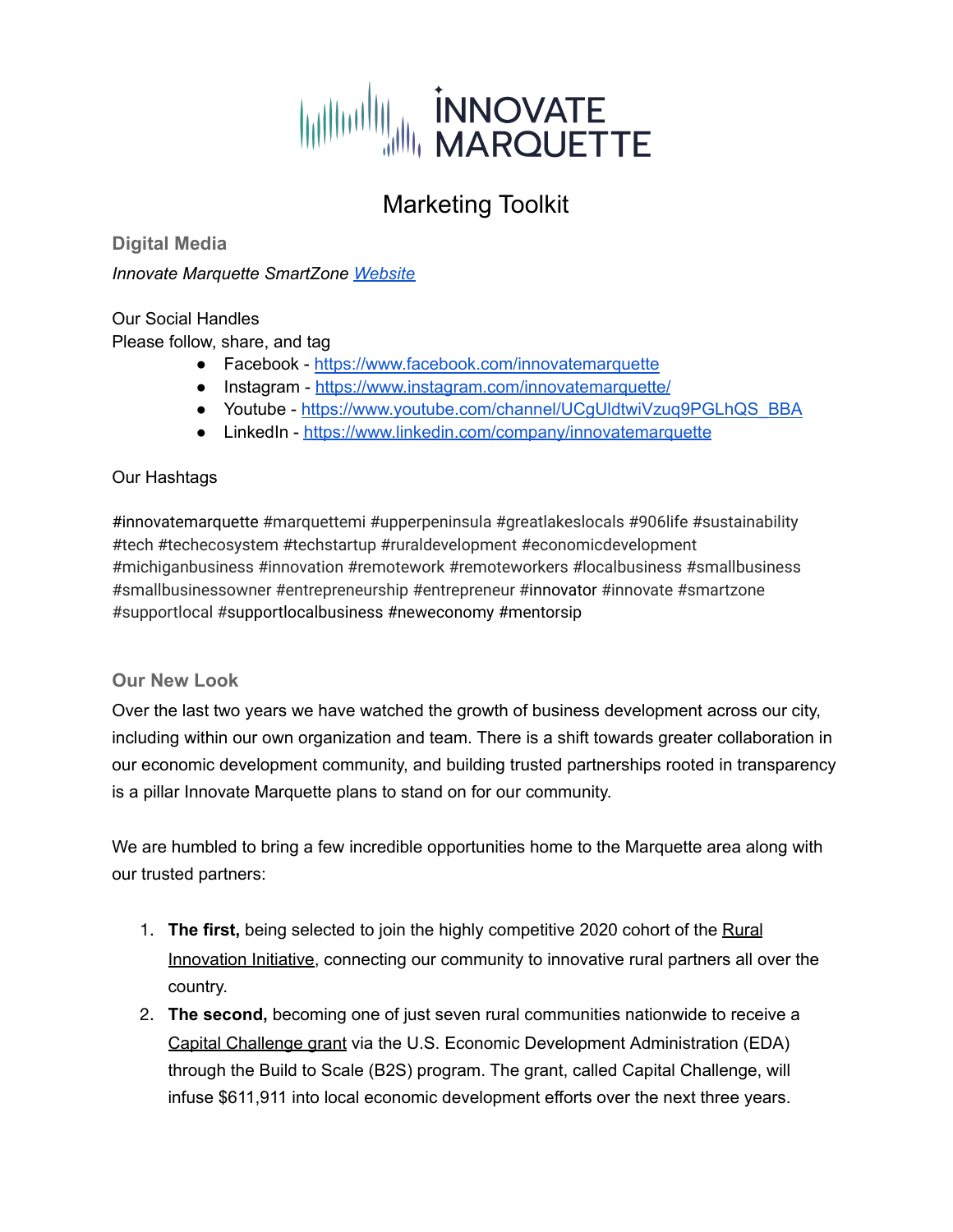

**Digital Media**

*Innovate Marquette SmartZone [Website](https://www.innovatemarquette.org/)*

Our Social Handles

Please follow, share, and tag

- Facebook <https://www.facebook.com/innovatemarquette>
- Instagram <https://www.instagram.com/innovatemarquette/>
- Youtube [https://www.youtube.com/channel/UCgUldtwiVzuq9PGLhQS\\_BBA](https://www.youtube.com/channel/UCgUldtwiVzuq9PGLhQS_BBA)
- LinkedIn <https://www.linkedin.com/company/innovatemarquette>

#### Our Hashtags

#innovatemarquette #marquettemi #upperpeninsula #greatlakeslocals #906life #sustainability #tech #techecosystem #techstartup #ruraldevelopment #economicdevelopment #michiganbusiness #innovation #remotework #remoteworkers #localbusiness #smallbusiness #smallbusinessowner #entrepreneurship #entrepreneur #innovator #innovate #smartzone #supportlocal #supportlocalbusiness #neweconomy #mentorsip

#### **Our New Look**

Over the last two years we have watched the growth of business development across our city, including within our own organization and team. There is a shift towards greater collaboration in our economic development community, and building trusted partnerships rooted in transparency is a pillar Innovate Marquette plans to stand on for our community.

We are humbled to bring a few incredible opportunities home to the Marquette area along with our trusted partners:

- 1. **The first,** being selected to join the highly competitive 2020 cohort of the [Rural](https://ruralinnovation.us/) [Innovation](https://ruralinnovation.us/) Initiative, connecting our community to innovative rural partners all over the country.
- 2. **The second,** becoming one of just seven rural communities nationwide to receive a Capital [Challenge](https://eda.gov/oie/buildtoscale/capital/2021/innovation-marquette-enterprise-corporation.htm) grant via the U.S. Economic Development Administration (EDA) through the Build to Scale (B2S) program. The grant, called Capital Challenge, will infuse \$611,911 into local economic development efforts over the next three years.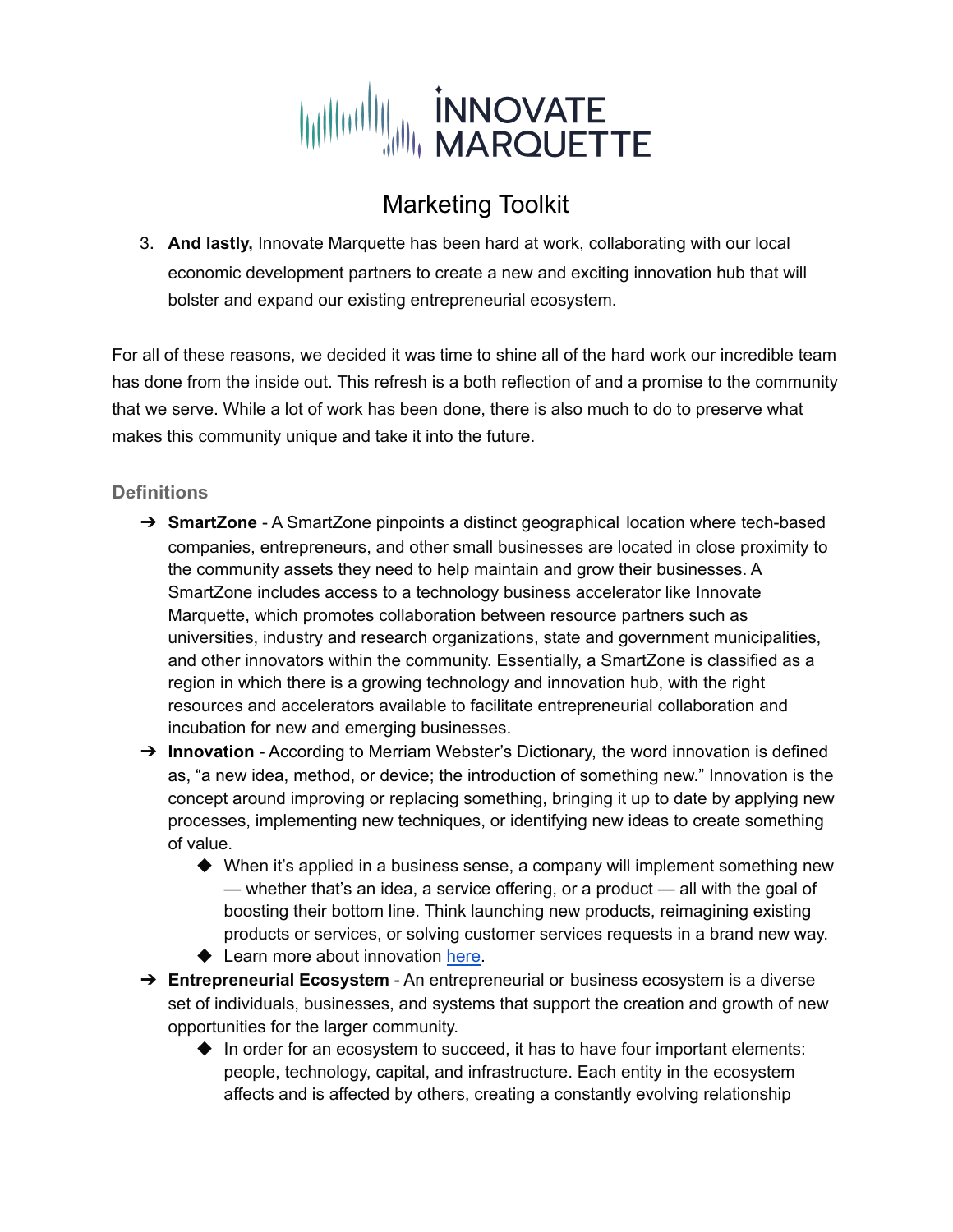

3. **And lastly,** Innovate Marquette has been hard at work, collaborating with our local economic development partners to create a new and exciting innovation hub that will bolster and expand our existing entrepreneurial ecosystem.

For all of these reasons, we decided it was time to shine all of the hard work our incredible team has done from the inside out. This refresh is a both reflection of and a promise to the community that we serve. While a lot of work has been done, there is also much to do to preserve what makes this community unique and take it into the future.

#### **Definitions**

- ➔ **SmartZone** A SmartZone pinpoints a distinct geographical location where tech-based companies, entrepreneurs, and other small businesses are located in close proximity to the community assets they need to help maintain and grow their businesses. A SmartZone includes access to a technology business accelerator like Innovate Marquette, which promotes collaboration between resource partners such as universities, industry and research organizations, state and government municipalities, and other innovators within the community. Essentially, a SmartZone is classified as a region in which there is a growing technology and innovation hub, with the right resources and accelerators available to facilitate entrepreneurial collaboration and incubation for new and emerging businesses.
- → **Innovation** According to Merriam Webster's Dictionary, the word innovation is defined as, "a new idea, method, or device; the introduction of something new." Innovation is the concept around improving or replacing something, bringing it up to date by applying new processes, implementing new techniques, or identifying new ideas to create something of value.
	- ◆ When it's applied in a business sense, a company will implement something new — whether that's an idea, a service offering, or a product — all with the goal of boosting their bottom line. Think launching new products, reimagining existing products or services, or solving customer services requests in a brand new way.
	- ◆ Learn more about innovation [here.](https://innovatemarquette.org/what-is-innovation/)
- ➔ **Entrepreneurial Ecosystem** An entrepreneurial or business ecosystem is a diverse set of individuals, businesses, and systems that support the creation and growth of new opportunities for the larger community.
	- $\blacklozenge$  In order for an ecosystem to succeed, it has to have four important elements: people, technology, capital, and infrastructure. Each entity in the ecosystem affects and is affected by others, creating a constantly evolving relationship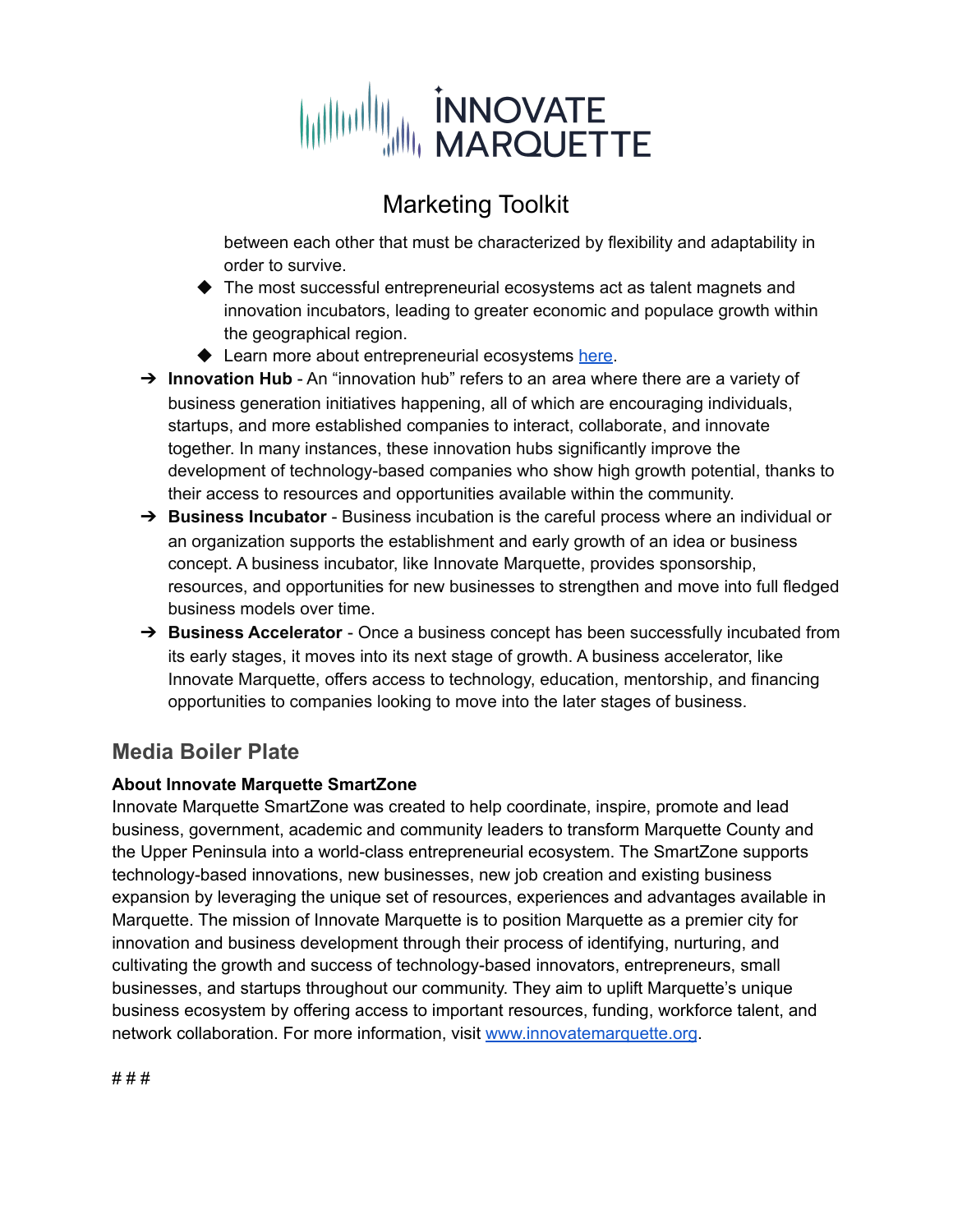# WILLIAM INNOVATE

## Marketing Toolkit

between each other that must be characterized by flexibility and adaptability in order to survive.

- ◆ The most successful entrepreneurial ecosystems act as talent magnets and innovation incubators, leading to greater economic and populace growth within the geographical region.
- ◆ Learn more about entrepreneurial ecosystems [here.](https://innovatemarquette.org/what-is-entrepreneurship/)
- → **Innovation Hub** An "innovation hub" refers to an area where there are a variety of business generation initiatives happening, all of which are encouraging individuals, startups, and more established companies to interact, collaborate, and innovate together. In many instances, these innovation hubs significantly improve the development of technology-based companies who show high growth potential, thanks to their access to resources and opportunities available within the community.
- ➔ **Business Incubator** Business incubation is the careful process where an individual or an organization supports the establishment and early growth of an idea or business concept. A business incubator, like Innovate Marquette, provides sponsorship, resources, and opportunities for new businesses to strengthen and move into full fledged business models over time.
- ➔ **Business Accelerator** Once a business concept has been successfully incubated from its early stages, it moves into its next stage of growth. A business accelerator, like Innovate Marquette, offers access to technology, education, mentorship, and financing opportunities to companies looking to move into the later stages of business.

## **Media Boiler Plate**

#### **About Innovate Marquette SmartZone**

Innovate Marquette SmartZone was created to help coordinate, inspire, promote and lead business, government, academic and community leaders to transform Marquette County and the Upper Peninsula into a world-class entrepreneurial ecosystem. The SmartZone supports technology-based innovations, new businesses, new job creation and existing business expansion by leveraging the unique set of resources, experiences and advantages available in Marquette. The mission of Innovate Marquette is to position Marquette as a premier city for innovation and business development through their process of identifying, nurturing, and cultivating the growth and success of technology-based innovators, entrepreneurs, small businesses, and startups throughout our community. They aim to uplift Marquette's unique business ecosystem by offering access to important resources, funding, workforce talent, and network collaboration. For more information, visit [www.innovatemarquette.org](http://www.innovatemarquette.org).